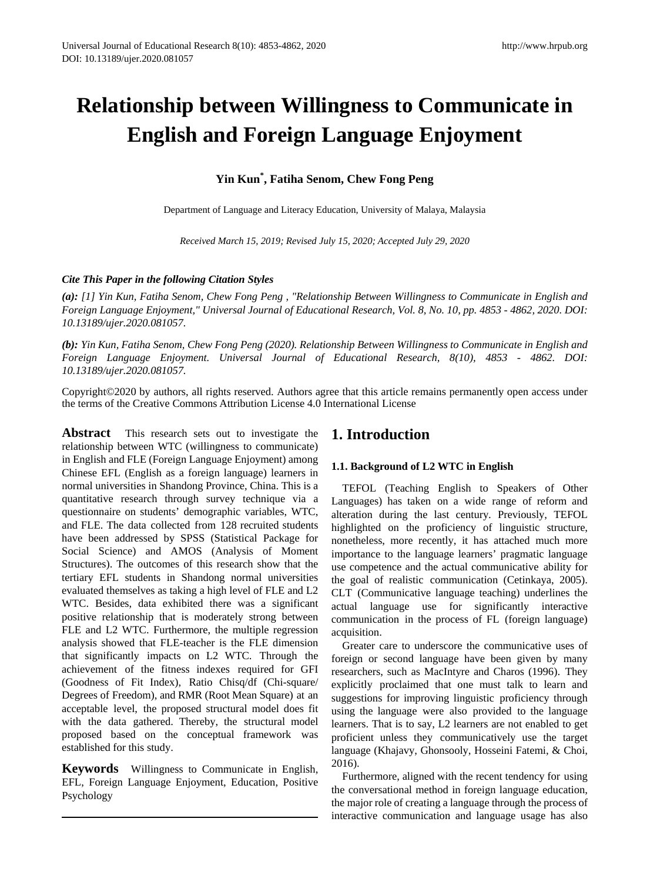# **Relationship between Willingness to Communicate in English and Foreign Language Enjoyment**

# **Yin Kun\* , Fatiha Senom, Chew Fong Peng**

Department of Language and Literacy Education, University of Malaya, Malaysia

*Received March 15, 2019; Revised July 15, 2020; Accepted July 29, 2020*

## *Cite This Paper in the following Citation Styles*

*(a): [1] Yin Kun, Fatiha Senom, Chew Fong Peng , "Relationship Between Willingness to Communicate in English and Foreign Language Enjoyment," Universal Journal of Educational Research, Vol. 8, No. 10, pp. 4853 - 4862, 2020. DOI: 10.13189/ujer.2020.081057.* 

*(b): Yin Kun, Fatiha Senom, Chew Fong Peng (2020). Relationship Between Willingness to Communicate in English and Foreign Language Enjoyment. Universal Journal of Educational Research, 8(10), 4853 - 4862. DOI: 10.13189/ujer.2020.081057.* 

Copyright©2020 by authors, all rights reserved. Authors agree that this article remains permanently open access under the terms of the Creative Commons Attribution License 4.0 International License

**Abstract** This research sets out to investigate the relationship between WTC (willingness to communicate) in English and FLE (Foreign Language Enjoyment) among Chinese EFL (English as a foreign language) learners in normal universities in Shandong Province, China. This is a quantitative research through survey technique via a questionnaire on students' demographic variables, WTC, and FLE. The data collected from 128 recruited students have been addressed by SPSS (Statistical Package for Social Science) and AMOS (Analysis of Moment Structures). The outcomes of this research show that the tertiary EFL students in Shandong normal universities evaluated themselves as taking a high level of FLE and L2 WTC. Besides, data exhibited there was a significant positive relationship that is moderately strong between FLE and L2 WTC. Furthermore, the multiple regression analysis showed that FLE-teacher is the FLE dimension that significantly impacts on L2 WTC. Through the achievement of the fitness indexes required for GFI (Goodness of Fit Index), Ratio Chisq/df (Chi-square/ Degrees of Freedom), and RMR (Root Mean Square) at an acceptable level, the proposed structural model does fit with the data gathered. Thereby, the structural model proposed based on the conceptual framework was established for this study.

**Keywords** Willingness to Communicate in English, EFL, Foreign Language Enjoyment, Education, Positive Psychology

# **1. Introduction**

## **1.1. Background of L2 WTC in English**

TEFOL (Teaching English to Speakers of Other Languages) has taken on a wide range of reform and alteration during the last century. Previously, TEFOL highlighted on the proficiency of linguistic structure, nonetheless, more recently, it has attached much more importance to the language learners' pragmatic language use competence and the actual communicative ability for the goal of realistic communication (Cetinkaya, 2005). CLT (Communicative language teaching) underlines the actual language use for significantly interactive communication in the process of FL (foreign language) acquisition.

Greater care to underscore the communicative uses of foreign or second language have been given by many researchers, such as MacIntyre and Charos (1996). They explicitly proclaimed that one must talk to learn and suggestions for improving linguistic proficiency through using the language were also provided to the language learners. That is to say, L2 learners are not enabled to get proficient unless they communicatively use the target language (Khajavy, Ghonsooly, Hosseini Fatemi, & Choi, 2016).

Furthermore, aligned with the recent tendency for using the conversational method in foreign language education, the major role of creating a language through the process of interactive communication and language usage has also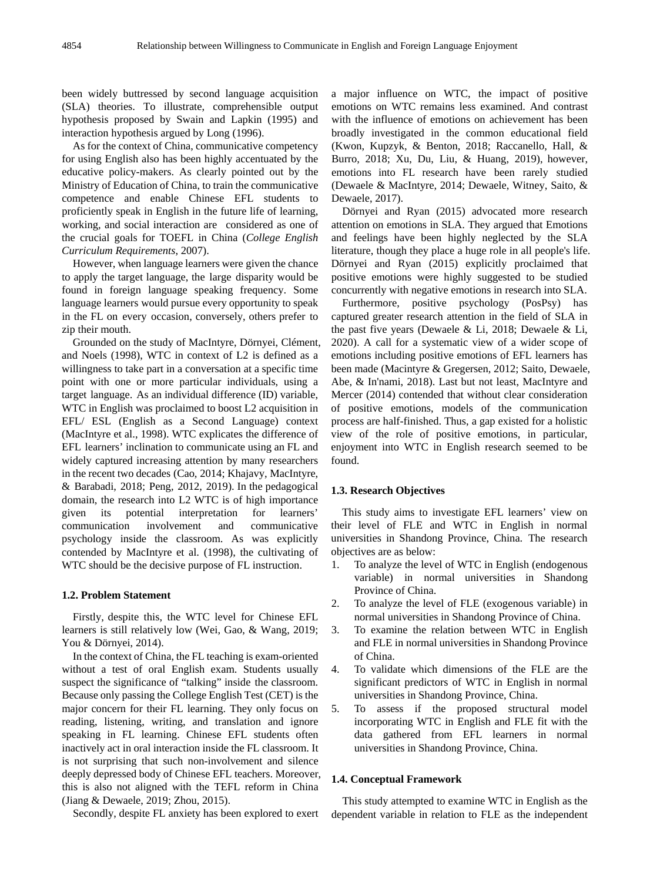been widely buttressed by second language acquisition (SLA) theories. To illustrate, comprehensible output hypothesis proposed by Swain and Lapkin (1995) and interaction hypothesis argued by Long (1996).

As for the context of China, communicative competency for using English also has been highly accentuated by the educative policy-makers. As clearly pointed out by the Ministry of Education of China, to train the communicative competence and enable Chinese EFL students to proficiently speak in English in the future life of learning, working, and social interaction are considered as one of the crucial goals for TOEFL in China (*College English Curriculum Requirements*, 2007).

However, when language learners were given the chance to apply the target language, the large disparity would be found in foreign language speaking frequency. Some language learners would pursue every opportunity to speak in the FL on every occasion, conversely, others prefer to zip their mouth.

Grounded on the study of MacIntyre, Dörnyei, Clément, and Noels (1998), WTC in context of L2 is defined as a willingness to take part in a conversation at a specific time point with one or more particular individuals, using a target language. As an individual difference (ID) variable, WTC in English was proclaimed to boost L2 acquisition in EFL/ ESL (English as a Second Language) context (MacIntyre et al., 1998). WTC explicates the difference of EFL learners' inclination to communicate using an FL and widely captured increasing attention by many researchers in the recent two decades (Cao, 2014; Khajavy, MacIntyre, & Barabadi, 2018; Peng, 2012, 2019). In the pedagogical domain, the research into L2 WTC is of high importance given its potential interpretation for learners' communication involvement and communicative psychology inside the classroom. As was explicitly contended by MacIntyre et al. (1998), the cultivating of WTC should be the decisive purpose of FL instruction.

#### **1.2. Problem Statement**

Firstly, despite this, the WTC level for Chinese EFL learners is still relatively low (Wei, Gao, & Wang, 2019; You & Dörnyei, 2014).

In the context of China, the FL teaching is exam-oriented without a test of oral English exam. Students usually suspect the significance of "talking" inside the classroom. Because only passing the College English Test (CET) is the major concern for their FL learning. They only focus on reading, listening, writing, and translation and ignore speaking in FL learning. Chinese EFL students often inactively act in oral interaction inside the FL classroom. It is not surprising that such non-involvement and silence deeply depressed body of Chinese EFL teachers. Moreover, this is also not aligned with the TEFL reform in China (Jiang & Dewaele, 2019; Zhou, 2015).

Secondly, despite FL anxiety has been explored to exert

a major influence on WTC, the impact of positive emotions on WTC remains less examined. And contrast with the influence of emotions on achievement has been broadly investigated in the common educational field (Kwon, Kupzyk, & Benton, 2018; Raccanello, Hall, & Burro, 2018; Xu, Du, Liu, & Huang, 2019), however, emotions into FL research have been rarely studied (Dewaele & MacIntyre, 2014; Dewaele, Witney, Saito, & Dewaele, 2017).

Dörnyei and Ryan (2015) advocated more research attention on emotions in SLA. They argued that Emotions and feelings have been highly neglected by the SLA literature, though they place a huge role in all people's life. Dörnyei and Ryan (2015) explicitly proclaimed that positive emotions were highly suggested to be studied concurrently with negative emotions in research into SLA.

Furthermore, positive psychology (PosPsy) has captured greater research attention in the field of SLA in the past five years (Dewaele & Li, 2018; Dewaele & Li, 2020). A call for a systematic view of a wider scope of emotions including positive emotions of EFL learners has been made (Macintyre & Gregersen, 2012; Saito, Dewaele, Abe, & In'nami, 2018). Last but not least, MacIntyre and Mercer (2014) contended that without clear consideration of positive emotions, models of the communication process are half-finished. Thus, a gap existed for a holistic view of the role of positive emotions, in particular, enjoyment into WTC in English research seemed to be found.

#### **1.3. Research Objectives**

This study aims to investigate EFL learners' view on their level of FLE and WTC in English in normal universities in Shandong Province, China. The research objectives are as below:

- 1. To analyze the level of WTC in English (endogenous variable) in normal universities in Shandong Province of China.
- 2. To analyze the level of FLE (exogenous variable) in normal universities in Shandong Province of China.
- 3. To examine the relation between WTC in English and FLE in normal universities in Shandong Province of China.
- 4. To validate which dimensions of the FLE are the significant predictors of WTC in English in normal universities in Shandong Province, China.
- 5. To assess if the proposed structural model incorporating WTC in English and FLE fit with the data gathered from EFL learners in normal universities in Shandong Province, China.

#### **1.4. Conceptual Framework**

This study attempted to examine WTC in English as the dependent variable in relation to FLE as the independent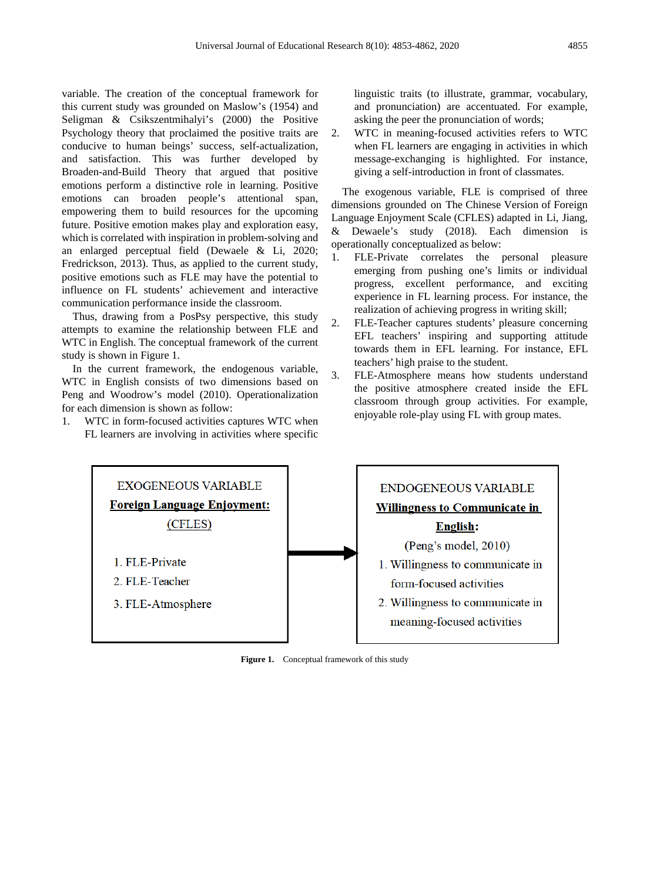variable. The creation of the conceptual framework for this current study was grounded on Maslow's (1954) and Seligman & Csikszentmihalyi's (2000) the Positive Psychology theory that proclaimed the positive traits are conducive to human beings' success, self-actualization, and satisfaction. This was further developed by Broaden-and-Build Theory that argued that positive emotions perform a distinctive role in learning. Positive emotions can broaden people's attentional span, empowering them to build resources for the upcoming future. Positive emotion makes play and exploration easy, which is correlated with inspiration in problem-solving and an enlarged perceptual field (Dewaele & Li, 2020; Fredrickson, 2013). Thus, as applied to the current study, positive emotions such as FLE may have the potential to influence on FL students' achievement and interactive communication performance inside the classroom.

Thus, drawing from a PosPsy perspective, this study attempts to examine the relationship between FLE and WTC in English. The conceptual framework of the current study is shown in Figure 1.

In the current framework, the endogenous variable, WTC in English consists of two dimensions based on Peng and Woodrow's model (2010). Operationalization for each dimension is shown as follow:

1. WTC in form-focused activities captures WTC when FL learners are involving in activities where specific linguistic traits (to illustrate, grammar, vocabulary, and pronunciation) are accentuated. For example, asking the peer the pronunciation of words;

2. WTC in meaning-focused activities refers to WTC when FL learners are engaging in activities in which message-exchanging is highlighted. For instance, giving a self-introduction in front of classmates.

The exogenous variable, FLE is comprised of three dimensions grounded on The Chinese Version of Foreign Language Enjoyment Scale (CFLES) adapted in Li, Jiang, & Dewaele's study (2018). Each dimension is operationally conceptualized as below:

- 1. FLE-Private correlates the personal pleasure emerging from pushing one's limits or individual progress, excellent performance, and exciting experience in FL learning process. For instance, the realization of achieving progress in writing skill;
- 2. FLE-Teacher captures students' pleasure concerning EFL teachers' inspiring and supporting attitude towards them in EFL learning. For instance, EFL teachers' high praise to the student.
- 3. FLE-Atmosphere means how students understand the positive atmosphere created inside the EFL classroom through group activities. For example, enjoyable role-play using FL with group mates.



**Figure 1.** Conceptual framework of this study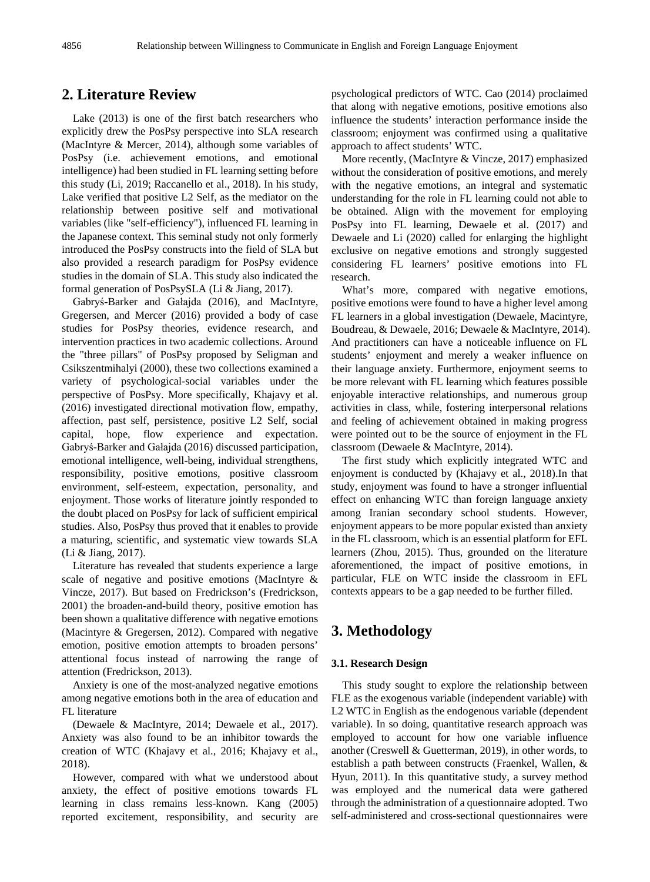## **2. Literature Review**

Lake (2013) is one of the first batch researchers who explicitly drew the PosPsy perspective into SLA research (MacIntyre & Mercer, 2014), although some variables of PosPsy (i.e. achievement emotions, and emotional intelligence) had been studied in FL learning setting before this study (Li, 2019; Raccanello et al., 2018). In his study, Lake verified that positive L2 Self, as the mediator on the relationship between positive self and motivational variables (like "self-efficiency"), influenced FL learning in the Japanese context. This seminal study not only formerly introduced the PosPsy constructs into the field of SLA but also provided a research paradigm for PosPsy evidence studies in the domain of SLA. This study also indicated the formal generation of PosPsySLA (Li & Jiang, 2017).

Gabryś-Barker and Gałajda (2016), and MacIntyre, Gregersen, and Mercer (2016) provided a body of case studies for PosPsy theories, evidence research, and intervention practices in two academic collections. Around the "three pillars" of PosPsy proposed by Seligman and Csikszentmihalyi (2000), these two collections examined a variety of psychological-social variables under the perspective of PosPsy. More specifically, Khajavy et al. (2016) investigated directional motivation flow, empathy, affection, past self, persistence, positive L2 Self, social capital, hope, flow experience and expectation. Gabryś-Barker and Gałajda (2016) discussed participation, emotional intelligence, well-being, individual strengthens, responsibility, positive emotions, positive classroom environment, self-esteem, expectation, personality, and enjoyment. Those works of literature jointly responded to the doubt placed on PosPsy for lack of sufficient empirical studies. Also, PosPsy thus proved that it enables to provide a maturing, scientific, and systematic view towards SLA (Li & Jiang, 2017).

Literature has revealed that students experience a large scale of negative and positive emotions (MacIntyre & Vincze, 2017). But based on Fredrickson's (Fredrickson, 2001) the broaden-and-build theory, positive emotion has been shown a qualitative difference with negative emotions (Macintyre & Gregersen, 2012). Compared with negative emotion, positive emotion attempts to broaden persons' attentional focus instead of narrowing the range of attention (Fredrickson, 2013).

Anxiety is one of the most-analyzed negative emotions among negative emotions both in the area of education and FL literature

(Dewaele & MacIntyre, 2014; Dewaele et al., 2017). Anxiety was also found to be an inhibitor towards the creation of WTC (Khajavy et al., 2016; Khajavy et al., 2018).

However, compared with what we understood about anxiety, the effect of positive emotions towards FL learning in class remains less-known. Kang (2005) reported excitement, responsibility, and security are

psychological predictors of WTC. Cao (2014) proclaimed that along with negative emotions, positive emotions also influence the students' interaction performance inside the classroom; enjoyment was confirmed using a qualitative approach to affect students' WTC.

More recently, (MacIntyre & Vincze, 2017) emphasized without the consideration of positive emotions, and merely with the negative emotions, an integral and systematic understanding for the role in FL learning could not able to be obtained. Align with the movement for employing PosPsy into FL learning, Dewaele et al. (2017) and Dewaele and Li (2020) called for enlarging the highlight exclusive on negative emotions and strongly suggested considering FL learners' positive emotions into FL research.

What's more, compared with negative emotions, positive emotions were found to have a higher level among FL learners in a global investigation (Dewaele, Macintyre, Boudreau, & Dewaele, 2016; Dewaele & MacIntyre, 2014). And practitioners can have a noticeable influence on FL students' enjoyment and merely a weaker influence on their language anxiety. Furthermore, enjoyment seems to be more relevant with FL learning which features possible enjoyable interactive relationships, and numerous group activities in class, while, fostering interpersonal relations and feeling of achievement obtained in making progress were pointed out to be the source of enjoyment in the FL classroom (Dewaele & MacIntyre, 2014).

The first study which explicitly integrated WTC and enjoyment is conducted by (Khajavy et al., 2018).In that study, enjoyment was found to have a stronger influential effect on enhancing WTC than foreign language anxiety among Iranian secondary school students. However, enjoyment appears to be more popular existed than anxiety in the FL classroom, which is an essential platform for EFL learners (Zhou, 2015). Thus, grounded on the literature aforementioned, the impact of positive emotions, in particular, FLE on WTC inside the classroom in EFL contexts appears to be a gap needed to be further filled.

## **3. Methodology**

### **3.1. Research Design**

This study sought to explore the relationship between FLE as the exogenous variable (independent variable) with L2 WTC in English as the endogenous variable (dependent variable). In so doing, quantitative research approach was employed to account for how one variable influence another (Creswell & Guetterman, 2019), in other words, to establish a path between constructs (Fraenkel, Wallen, & Hyun, 2011). In this quantitative study, a survey method was employed and the numerical data were gathered through the administration of a questionnaire adopted. Two self-administered and cross-sectional questionnaires were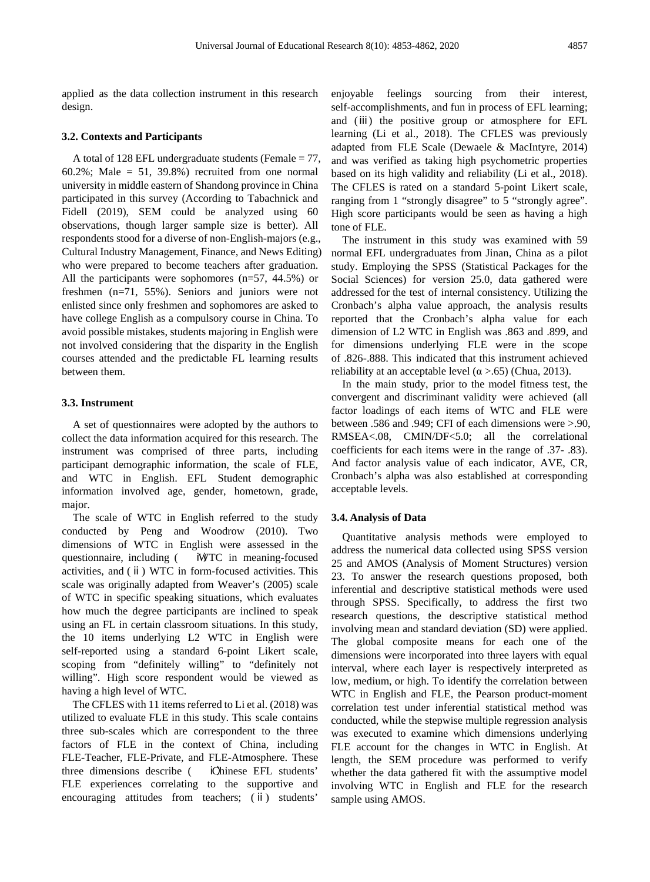applied as the data collection instrument in this research design.

#### **3.2. Contexts and Participants**

A total of 128 EFL undergraduate students (Female = 77, 60.2%; Male =  $51$ , 39.8%) recruited from one normal university in middle eastern of Shandong province in China participated in this survey (According to Tabachnick and Fidell (2019), SEM could be analyzed using 60 observations, though larger sample size is better). All respondents stood for a diverse of non-English-majors (e.g., Cultural Industry Management, Finance, and News Editing) who were prepared to become teachers after graduation. All the participants were sophomores (n=57, 44.5%) or freshmen (n=71, 55%). Seniors and juniors were not enlisted since only freshmen and sophomores are asked to have college English as a compulsory course in China. To avoid possible mistakes, students majoring in English were not involved considering that the disparity in the English courses attended and the predictable FL learning results between them.

#### **3.3. Instrument**

A set of questionnaires were adopted by the authors to collect the data information acquired for this research. The instrument was comprised of three parts, including participant demographic information, the scale of FLE, and WTC in English. EFL Student demographic information involved age, gender, hometown, grade, major.

The scale of WTC in English referred to the study conducted by Peng and Woodrow (2010). Two dimensions of WTC in English were assessed in the questionnaire, including (  $\dot{W}TC$  in meaning-focused activities, and (ⅱ) WTC in form-focused activities. This scale was originally adapted from Weaver's (2005) scale of WTC in specific speaking situations, which evaluates how much the degree participants are inclined to speak using an FL in certain classroom situations. In this study, the 10 items underlying L2 WTC in English were self-reported using a standard 6-point Likert scale, scoping from "definitely willing" to "definitely not willing". High score respondent would be viewed as having a high level of WTC.

The CFLES with 11 items referred to Li et al. (2018) was utilized to evaluate FLE in this study. This scale contains three sub-scales which are correspondent to the three factors of FLE in the context of China, including FLE-Teacher, FLE-Private, and FLE-Atmosphere. These three dimensions describe (  $\blacksquare$  iOhinese EFL students' FLE experiences correlating to the supportive and encouraging attitudes from teachers; (ⅱ) students'

enjoyable feelings sourcing from their interest, self-accomplishments, and fun in process of EFL learning; and (ⅲ) the positive group or atmosphere for EFL learning (Li et al., 2018). The CFLES was previously adapted from FLE Scale (Dewaele & MacIntyre, 2014) and was verified as taking high psychometric properties based on its high validity and reliability (Li et al., 2018). The CFLES is rated on a standard 5-point Likert scale, ranging from 1 "strongly disagree" to 5 "strongly agree". High score participants would be seen as having a high tone of FLE.

The instrument in this study was examined with 59 normal EFL undergraduates from Jinan, China as a pilot study. Employing the SPSS (Statistical Packages for the Social Sciences) for version 25.0, data gathered were addressed for the test of internal consistency. Utilizing the Cronbach's alpha value approach, the analysis results reported that the Cronbach's alpha value for each dimension of L2 WTC in English was .863 and .899, and for dimensions underlying FLE were in the scope of .826-.888. This indicated that this instrument achieved reliability at an acceptable level ( $\alpha$  >.65) (Chua, 2013).

In the main study, prior to the model fitness test, the convergent and discriminant validity were achieved (all factor loadings of each items of WTC and FLE were between .586 and .949; CFI of each dimensions were >.90, RMSEA<.08, CMIN/DF<5.0; all the correlational coefficients for each items were in the range of .37- .83). And factor analysis value of each indicator, AVE, CR, Cronbach's alpha was also established at corresponding acceptable levels.

#### **3.4. Analysis of Data**

Quantitative analysis methods were employed to address the numerical data collected using SPSS version 25 and AMOS (Analysis of Moment Structures) version 23. To answer the research questions proposed, both inferential and descriptive statistical methods were used through SPSS. Specifically, to address the first two research questions, the descriptive statistical method involving mean and standard deviation (SD) were applied. The global composite means for each one of the dimensions were incorporated into three layers with equal interval, where each layer is respectively interpreted as low, medium, or high. To identify the correlation between WTC in English and FLE, the Pearson product-moment correlation test under inferential statistical method was conducted, while the stepwise multiple regression analysis was executed to examine which dimensions underlying FLE account for the changes in WTC in English. At length, the SEM procedure was performed to verify whether the data gathered fit with the assumptive model involving WTC in English and FLE for the research sample using AMOS.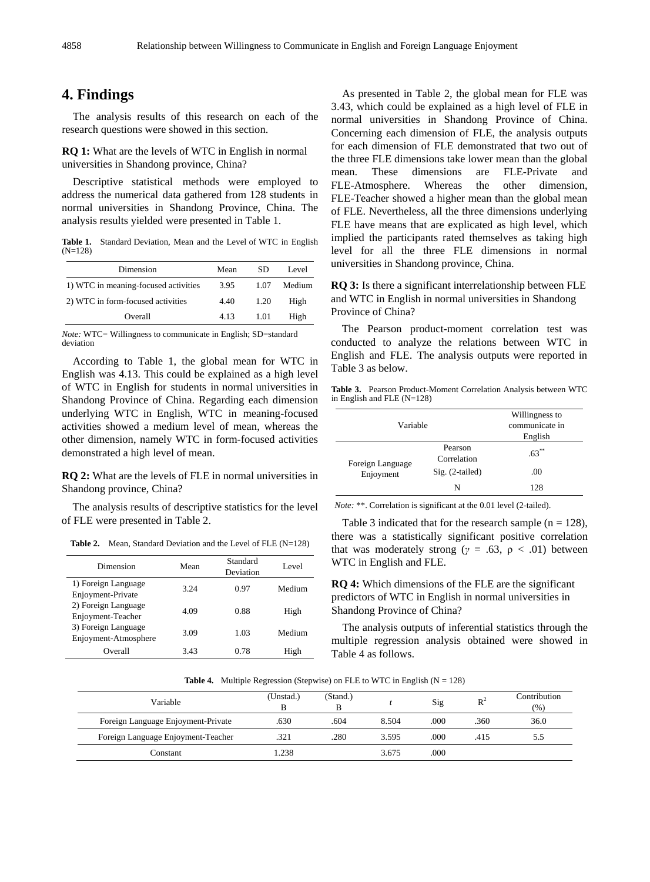# **4. Findings**

The analysis results of this research on each of the research questions were showed in this section.

**RQ 1:** What are the levels of WTC in English in normal universities in Shandong province, China?

Descriptive statistical methods were employed to address the numerical data gathered from 128 students in normal universities in Shandong Province, China. The analysis results yielded were presented in Table 1.

**Table 1.** Standard Deviation, Mean and the Level of WTC in English  $(N=128)$ 

| Dimension                            | Mean | SD.  | Level  |
|--------------------------------------|------|------|--------|
| 1) WTC in meaning-focused activities | 3.95 | 1.07 | Medium |
| 2) WTC in form-focused activities    | 4.40 | 1.20 | High   |
| Overall                              | 4.13 | 1.01 | High   |

*Note:* WTC= Willingness to communicate in English; SD=standard deviation

According to Table 1, the global mean for WTC in English was 4.13. This could be explained as a high level of WTC in English for students in normal universities in Shandong Province of China. Regarding each dimension underlying WTC in English, WTC in meaning-focused activities showed a medium level of mean, whereas the other dimension, namely WTC in form-focused activities demonstrated a high level of mean.

**RQ 2:** What are the levels of FLE in normal universities in Shandong province, China?

The analysis results of descriptive statistics for the level of FLE were presented in Table 2.

**Table 2.** Mean, Standard Deviation and the Level of FLE (N=128)

| Dimension                                   | Mean | Standard<br>Deviation | Level  |
|---------------------------------------------|------|-----------------------|--------|
| 1) Foreign Language<br>Enjoyment-Private    | 3.24 | 0.97                  | Medium |
| 2) Foreign Language<br>Enjoyment-Teacher    | 4.09 | 0.88                  | High   |
| 3) Foreign Language<br>Enjoyment-Atmosphere | 3.09 | 1.03                  | Medium |
| Overall                                     | 3.43 | 0.78                  | High   |

As presented in Table 2, the global mean for FLE was 3.43, which could be explained as a high level of FLE in normal universities in Shandong Province of China. Concerning each dimension of FLE, the analysis outputs for each dimension of FLE demonstrated that two out of the three FLE dimensions take lower mean than the global<br>mean. These dimensions are FLE-Private and mean. These dimensions are FLE-Private and FLE-Atmosphere. Whereas the other dimension, FLE-Teacher showed a higher mean than the global mean of FLE. Nevertheless, all the three dimensions underlying FLE have means that are explicated as high level, which implied the participants rated themselves as taking high level for all the three FLE dimensions in normal universities in Shandong province, China.

**RQ 3:** Is there a significant interrelationship between FLE and WTC in English in normal universities in Shandong Province of China?

The Pearson product-moment correlation test was conducted to analyze the relations between WTC in English and FLE. The analysis outputs were reported in Table 3 as below.

| Table 3. Pearson Product-Moment Correlation Analysis between WTC |  |  |
|------------------------------------------------------------------|--|--|
| in English and FLE $(N=128)$                                     |  |  |

| Variable                      |                        | Willingness to<br>communicate in<br>English |
|-------------------------------|------------------------|---------------------------------------------|
| Foreign Language<br>Enjoyment | Pearson<br>Correlation | $.63***$                                    |
|                               | Sig. (2-tailed)        | .00                                         |
|                               | N                      | 128                                         |

*Note:* \*\*. Correlation is significant at the 0.01 level (2-tailed).

Table 3 indicated that for the research sample ( $n = 128$ ), there was a statistically significant positive correlation that was moderately strong ( $\gamma = .63$ ,  $\rho < .01$ ) between WTC in English and FLE.

**RQ 4:** Which dimensions of the FLE are the significant predictors of WTC in English in normal universities in Shandong Province of China?

The analysis outputs of inferential statistics through the multiple regression analysis obtained were showed in Table 4 as follows.

**Table 4.** Multiple Regression (Stepwise) on FLE to WTC in English  $(N = 128)$ 

| Variable                           | (Unstad.)<br>в | (Stand.) |       | Sig  | $R^2$ | Contribution<br>(% ) |
|------------------------------------|----------------|----------|-------|------|-------|----------------------|
| Foreign Language Enjoyment-Private | .630           | .604     | 8.504 | .000 | .360  | 36.0                 |
| Foreign Language Enjoyment-Teacher | .321           | .280     | 3.595 | .000 | .415  | 5.5                  |
| Constant                           | .238           |          | 3.675 | .000 |       |                      |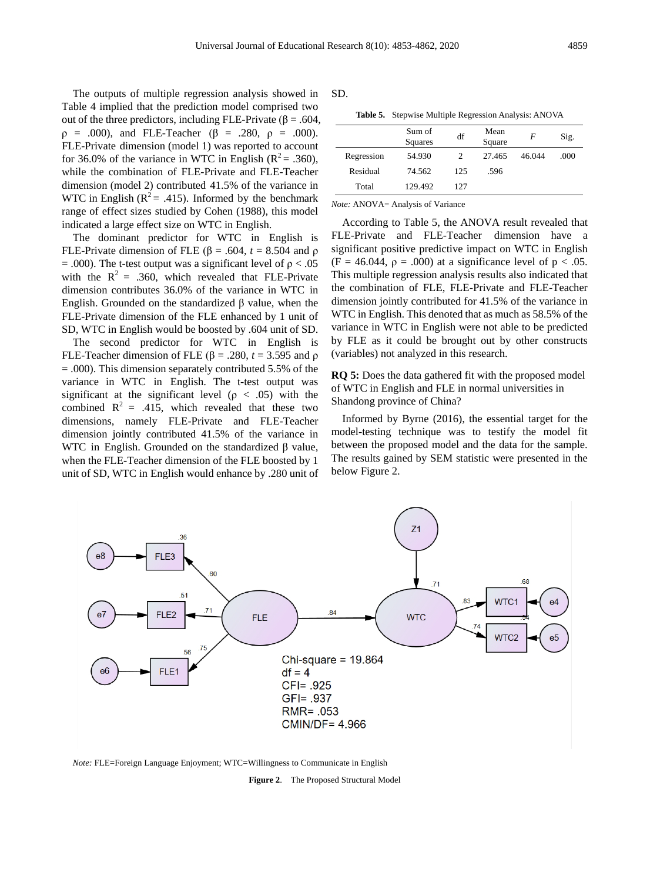The outputs of multiple regression analysis showed in Table 4 implied that the prediction model comprised two out of the three predictors, including FLE-Private ( $\beta = .604$ ,  $ρ = .000$ , and FLE-Teacher (β = .280,  $ρ = .000$ ). FLE-Private dimension (model 1) was reported to account for 36.0% of the variance in WTC in English ( $R^2 = .360$ ), while the combination of FLE-Private and FLE-Teacher dimension (model 2) contributed 41.5% of the variance in WTC in English ( $R^2 = .415$ ). Informed by the benchmark range of effect sizes studied by Cohen (1988), this model indicated a large effect size on WTC in English.

The dominant predictor for WTC in English is FLE-Private dimension of FLE (β = .604, *t* = 8.504 and ρ  $= .000$ ). The t-test output was a significant level of  $\rho < .05$ with the  $R^2 = .360$ , which revealed that FLE-Private dimension contributes 36.0% of the variance in WTC in English. Grounded on the standardized β value, when the FLE-Private dimension of the FLE enhanced by 1 unit of SD, WTC in English would be boosted by .604 unit of SD.

The second predictor for WTC in English is FLE-Teacher dimension of FLE ( $β = .280$ ,  $t = 3.595$  and  $ρ$  $= .000$ ). This dimension separately contributed 5.5% of the variance in WTC in English. The t-test output was significant at the significant level ( $\rho < .05$ ) with the combined  $R^2 = .415$ , which revealed that these two dimensions, namely FLE-Private and FLE-Teacher dimension jointly contributed 41.5% of the variance in WTC in English. Grounded on the standardized β value, when the FLE-Teacher dimension of the FLE boosted by 1 unit of SD, WTC in English would enhance by .280 unit of

SD.

**Table 5.** Stepwise Multiple Regression Analysis: ANOVA

|            | Sum of<br>Squares | df  | Mean<br>Square | F      | Sig. |
|------------|-------------------|-----|----------------|--------|------|
| Regression | 54.930            | 2   | 27.465         | 46.044 | .000 |
| Residual   | 74.562            | 125 | .596           |        |      |
| Total      | 129.492           | 127 |                |        |      |

*Note:* ANOVA= Analysis of Variance

According to Table 5, the ANOVA result revealed that FLE-Private and FLE-Teacher dimension have a significant positive predictive impact on WTC in English (F = 46.044,  $\rho$  = .000) at a significance level of  $p < .05$ . This multiple regression analysis results also indicated that the combination of FLE, FLE-Private and FLE-Teacher dimension jointly contributed for 41.5% of the variance in WTC in English. This denoted that as much as 58.5% of the variance in WTC in English were not able to be predicted by FLE as it could be brought out by other constructs (variables) not analyzed in this research.

**RQ 5:** Does the data gathered fit with the proposed model of WTC in English and FLE in normal universities in Shandong province of China?

Informed by Byrne (2016), the essential target for the model-testing technique was to testify the model fit between the proposed model and the data for the sample. The results gained by SEM statistic were presented in the below Figure 2.



*Note:* FLE=Foreign Language Enjoyment; WTC=Willingness to Communicate in English

**Figure 2**. The Proposed Structural Model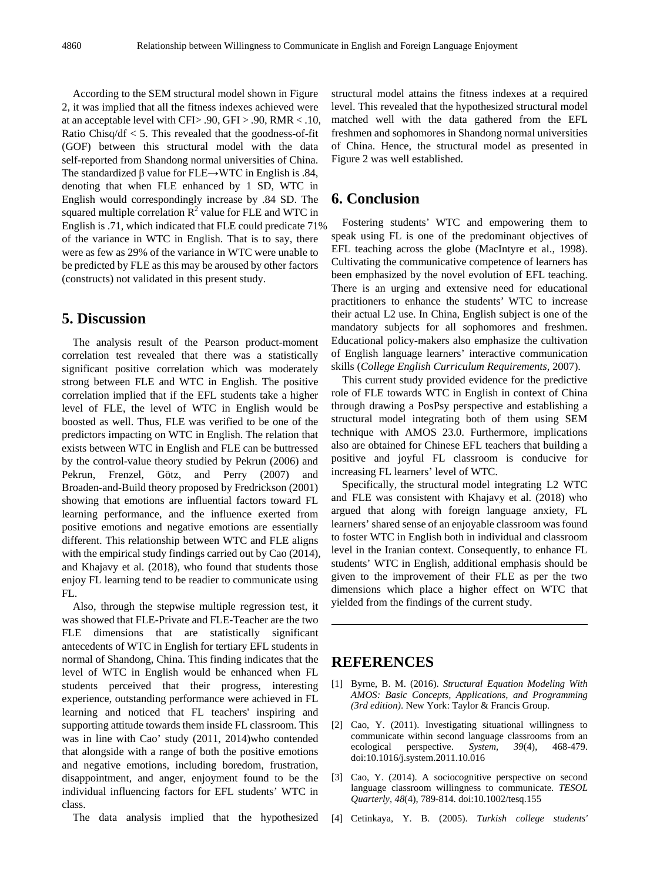According to the SEM structural model shown in Figure 2, it was implied that all the fitness indexes achieved were at an acceptable level with CFI> .90, GFI > .90, RMR < .10, Ratio Chisq/df  $<$  5. This revealed that the goodness-of-fit (GOF) between this structural model with the data self-reported from Shandong normal universities of China. The standardized  $\beta$  value for FLE→WTC in English is .84, denoting that when FLE enhanced by 1 SD, WTC in English would correspondingly increase by .84 SD. The squared multiple correlation  $R^2$  value for FLE and WTC in English is .71, which indicated that FLE could predicate 71% of the variance in WTC in English. That is to say, there were as few as 29% of the variance in WTC were unable to be predicted by FLE as this may be aroused by other factors (constructs) not validated in this present study.

## **5. Discussion**

The analysis result of the Pearson product-moment correlation test revealed that there was a statistically significant positive correlation which was moderately strong between FLE and WTC in English. The positive correlation implied that if the EFL students take a higher level of FLE, the level of WTC in English would be boosted as well. Thus, FLE was verified to be one of the predictors impacting on WTC in English. The relation that exists between WTC in English and FLE can be buttressed by the control-value theory studied by Pekrun (2006) and Pekrun, Frenzel, Götz, and Perry (2007) and Broaden-and-Build theory proposed by Fredrickson (2001) showing that emotions are influential factors toward FL learning performance, and the influence exerted from positive emotions and negative emotions are essentially different. This relationship between WTC and FLE aligns with the empirical study findings carried out by Cao (2014), and Khajavy et al. (2018), who found that students those enjoy FL learning tend to be readier to communicate using FL.

Also, through the stepwise multiple regression test, it was showed that FLE-Private and FLE-Teacher are the two FLE dimensions that are statistically significant antecedents of WTC in English for tertiary EFL students in normal of Shandong, China. This finding indicates that the level of WTC in English would be enhanced when FL students perceived that their progress, interesting experience, outstanding performance were achieved in FL learning and noticed that FL teachers' inspiring and supporting attitude towards them inside FL classroom. This was in line with Cao' study (2011, 2014)who contended that alongside with a range of both the positive emotions and negative emotions, including boredom, frustration, disappointment, and anger, enjoyment found to be the individual influencing factors for EFL students' WTC in class.

The data analysis implied that the hypothesized

structural model attains the fitness indexes at a required level. This revealed that the hypothesized structural model matched well with the data gathered from the EFL freshmen and sophomores in Shandong normal universities of China. Hence, the structural model as presented in Figure 2 was well established.

## **6. Conclusion**

Fostering students' WTC and empowering them to speak using FL is one of the predominant objectives of EFL teaching across the globe (MacIntyre et al., 1998). Cultivating the communicative competence of learners has been emphasized by the novel evolution of EFL teaching. There is an urging and extensive need for educational practitioners to enhance the students' WTC to increase their actual L2 use. In China, English subject is one of the mandatory subjects for all sophomores and freshmen. Educational policy-makers also emphasize the cultivation of English language learners' interactive communication skills (*College English Curriculum Requirements*, 2007).

This current study provided evidence for the predictive role of FLE towards WTC in English in context of China through drawing a PosPsy perspective and establishing a structural model integrating both of them using SEM technique with AMOS 23.0. Furthermore, implications also are obtained for Chinese EFL teachers that building a positive and joyful FL classroom is conducive for increasing FL learners' level of WTC.

Specifically, the structural model integrating L2 WTC and FLE was consistent with Khajavy et al. (2018) who argued that along with foreign language anxiety, FL learners' shared sense of an enjoyable classroom was found to foster WTC in English both in individual and classroom level in the Iranian context. Consequently, to enhance FL students' WTC in English, additional emphasis should be given to the improvement of their FLE as per the two dimensions which place a higher effect on WTC that yielded from the findings of the current study.

## **REFERENCES**

- [1] Byrne, B. M. (2016). *Structural Equation Modeling With AMOS: Basic Concepts, Applications, and Programming (3rd edition)*. New York: Taylor & Francis Group.
- [2] Cao, Y. (2011). Investigating situational willingness to communicate within second language classrooms from an ecological perspective. System, 39(4), 468-479. ecological perspective. *System, 39*(4), 468-479. doi:10.1016/j.system.2011.10.016
- [3] Cao, Y. (2014). A sociocognitive perspective on second language classroom willingness to communicate. *TESOL Quarterly, 48*(4), 789-814. doi:10.1002/tesq.155
- [4] Cetinkaya, Y. B. (2005). *Turkish college students'*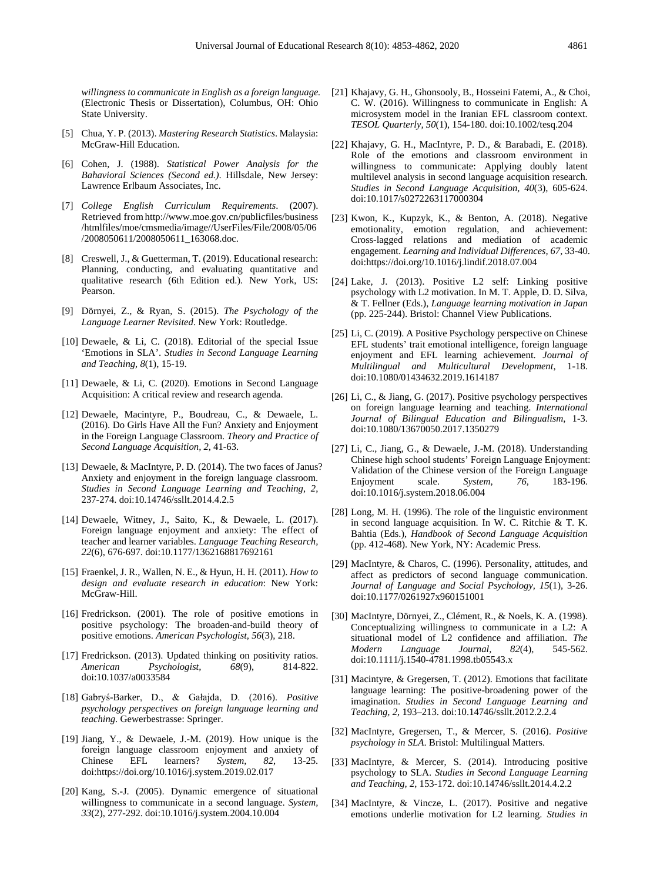*willingness to communicate in English as a foreign language.* (Electronic Thesis or Dissertation), Columbus, OH: Ohio State University.

- [5] Chua, Y. P. (2013). *Mastering Research Statistics*. Malaysia: McGraw-Hill Education.
- [6] Cohen, J. (1988). *Statistical Power Analysis for the Bahavioral Sciences (Second ed.)*. Hillsdale, New Jersey: Lawrence Erlbaum Associates, Inc.
- [7] *College English Curriculum Requirements*. (2007). Retrieved from http://www.moe.gov.cn/publicfiles/business /htmlfiles/moe/cmsmedia/image//UserFiles/File/2008/05/06 /2008050611/2008050611\_163068.doc.
- [8] Creswell, J., & Guetterman, T. (2019). Educational research: Planning, conducting, and evaluating quantitative and qualitative research (6th Edition ed.). New York, US: Pearson.
- [9] Dörnyei, Z., & Ryan, S. (2015). *The Psychology of the Language Learner Revisited*. New York: Routledge.
- [10] Dewaele, & Li, C. (2018). Editorial of the special Issue 'Emotions in SLA'. *Studies in Second Language Learning and Teaching, 8*(1), 15-19.
- [11] Dewaele, & Li, C. (2020). Emotions in Second Language Acquisition: A critical review and research agenda.
- [12] Dewaele, Macintyre, P., Boudreau, C., & Dewaele, L. (2016). Do Girls Have All the Fun? Anxiety and Enjoyment in the Foreign Language Classroom. *Theory and Practice of Second Language Acquisition, 2*, 41-63.
- [13] Dewaele, & MacIntyre, P. D. (2014). The two faces of Janus? Anxiety and enjoyment in the foreign language classroom. *Studies in Second Language Learning and Teaching, 2*, 237-274. doi:10.14746/ssllt.2014.4.2.5
- [14] Dewaele, Witney, J., Saito, K., & Dewaele, L. (2017). Foreign language enjoyment and anxiety: The effect of teacher and learner variables. *Language Teaching Research, 22*(6), 676-697. doi:10.1177/1362168817692161
- [15] Fraenkel, J. R., Wallen, N. E., & Hyun, H. H. (2011). *How to design and evaluate research in education*: New York: McGraw-Hill.
- [16] Fredrickson. (2001). The role of positive emotions in positive psychology: The broaden-and-build theory of positive emotions. *American Psychologist, 56*(3), 218.
- [17] Fredrickson. (2013). Updated thinking on positivity ratios. *American Psychologist, 68*(9), 814-822. doi:10.1037/a0033584
- [18] Gabryś-Barker, D., & Gałajda, D. (2016). *Positive psychology perspectives on foreign language learning and teaching*. Gewerbestrasse: Springer.
- [19] Jiang, Y., & Dewaele, J.-M. (2019). How unique is the foreign language classroom enjoyment and anxiety of Chinese EFL learners? *System, 82*, 13-25. doi:https://doi.org/10.1016/j.system.2019.02.017
- [20] Kang, S.-J. (2005). Dynamic emergence of situational willingness to communicate in a second language. *System, 33*(2), 277-292. doi:10.1016/j.system.2004.10.004
- [21] Khajavy, G. H., Ghonsooly, B., Hosseini Fatemi, A., & Choi, C. W. (2016). Willingness to communicate in English: A microsystem model in the Iranian EFL classroom context. *TESOL Quarterly, 50*(1), 154-180. doi:10.1002/tesq.204
- [22] Khajavy, G. H., MacIntyre, P. D., & Barabadi, E. (2018). Role of the emotions and classroom environment in willingness to communicate: Applying doubly latent multilevel analysis in second language acquisition research. *Studies in Second Language Acquisition, 40*(3), 605-624. doi:10.1017/s0272263117000304
- [23] Kwon, K., Kupzyk, K., & Benton, A. (2018). Negative emotionality, emotion regulation, and achievement: Cross-lagged relations and mediation of academic engagement. *Learning and Individual Differences, 67*, 33-40. doi:https://doi.org/10.1016/j.lindif.2018.07.004
- [24] Lake, J. (2013). Positive L2 self: Linking positive psychology with L2 motivation. In M. T. Apple, D. D. Silva, & T. Fellner (Eds.), *Language learning motivation in Japan* (pp. 225-244). Bristol: Channel View Publications.
- [25] Li, C. (2019). A Positive Psychology perspective on Chinese EFL students' trait emotional intelligence, foreign language enjoyment and EFL learning achievement. *Journal of Multilingual and Multicultural Development*, 1-18. doi:10.1080/01434632.2019.1614187
- [26] Li, C., & Jiang, G. (2017). Positive psychology perspectives on foreign language learning and teaching. *International Journal of Bilingual Education and Bilingualism*, 1-3. doi:10.1080/13670050.2017.1350279
- [27] Li, C., Jiang, G., & Dewaele, J.-M. (2018). Understanding Chinese high school students' Foreign Language Enjoyment: Validation of the Chinese version of the Foreign Language Enjoyment scale. *System, 76*, 183-196. doi:10.1016/j.system.2018.06.004
- [28] Long, M. H. (1996). The role of the linguistic environment in second language acquisition. In W. C. Ritchie & T. K. Bahtia (Eds.), *Handbook of Second Language Acquisition* (pp. 412-468). New York, NY: Academic Press.
- [29] MacIntyre, & Charos, C. (1996). Personality, attitudes, and affect as predictors of second language communication. *Journal of Language and Social Psychology, 15*(1), 3-26. doi:10.1177/0261927x960151001
- [30] MacIntyre, Dörnyei, Z., Clément, R., & Noels, K. A. (1998). Conceptualizing willingness to communicate in a L2: A situational model of L2 confidence and affiliation. *The*  Language doi:10.1111/j.1540-4781.1998.tb05543.x
- [31] Macintyre, & Gregersen, T. (2012). Emotions that facilitate language learning: The positive-broadening power of the imagination. *Studies in Second Language Learning and Teaching, 2*, 193–213. doi:10.14746/ssllt.2012.2.2.4
- [32] MacIntyre, Gregersen, T., & Mercer, S. (2016). *Positive psychology in SLA*. Bristol: Multilingual Matters.
- [33] MacIntyre, & Mercer, S. (2014). Introducing positive psychology to SLA. *Studies in Second Language Learning and Teaching, 2*, 153-172. doi:10.14746/ssllt.2014.4.2.2
- [34] MacIntyre, & Vincze, L. (2017). Positive and negative emotions underlie motivation for L2 learning. *Studies in*